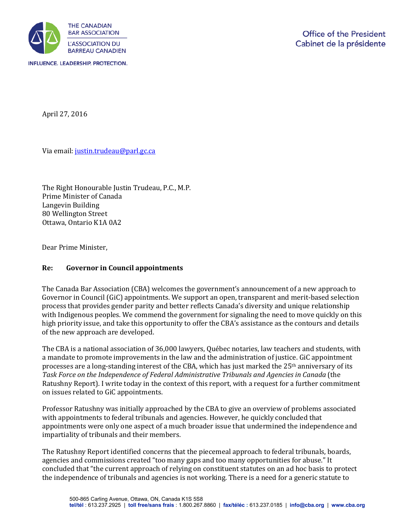

April 27, 2016

Via email[: justin.trudeau@parl.gc.ca](mailto:justin.trudeau@parl.gc.ca) 

The Right Honourable Justin Trudeau, P.C., M.P. Prime Minister of Canada Langevin Building 80 Wellington Street Ottawa, Ontario K1A 0A2

Dear Prime Minister,

## **Re: Governor in Council appointments**

The Canada Bar Association (CBA) welcomes the government's announcement of a new approach to Governor in Council (GiC) appointments. We support an open, transparent and merit-based selection process that provides gender parity and better reflects Canada's diversity and unique relationship with Indigenous peoples. We commend the government for signaling the need to move quickly on this high priority issue, and take this opportunity to offer the CBA's assistance as the contours and details of the new approach are developed.

The CBA is a national association of 36,000 lawyers, Québec notaries, law teachers and students, with a mandate to promote improvements in the law and the administration of justice. GiC appointment processes are a long-standing interest of the CBA, which has just marked the 25<sup>th</sup> anniversary of its *Task Force on the Independence of Federal Administrative Tribunals and Agencies in Canada* (the Ratushny Report). I write today in the context of this report, with a request for a further commitment on issues related to GiC appointments.

Professor Ratushny was initially approached by the CBA to give an overview of problems associated with appointments to federal tribunals and agencies. However, he quickly concluded that appointments were only one aspect of a much broader issue that undermined the independence and impartiality of tribunals and their members.

The Ratushny Report identified concerns that the piecemeal approach to federal tribunals, boards, agencies and commissions created "too many gaps and too many opportunities for abuse." It concluded that "the current approach of relying on constituent statutes on an ad hoc basis to protect the independence of tribunals and agencies is not working. There is a need for a generic statute to